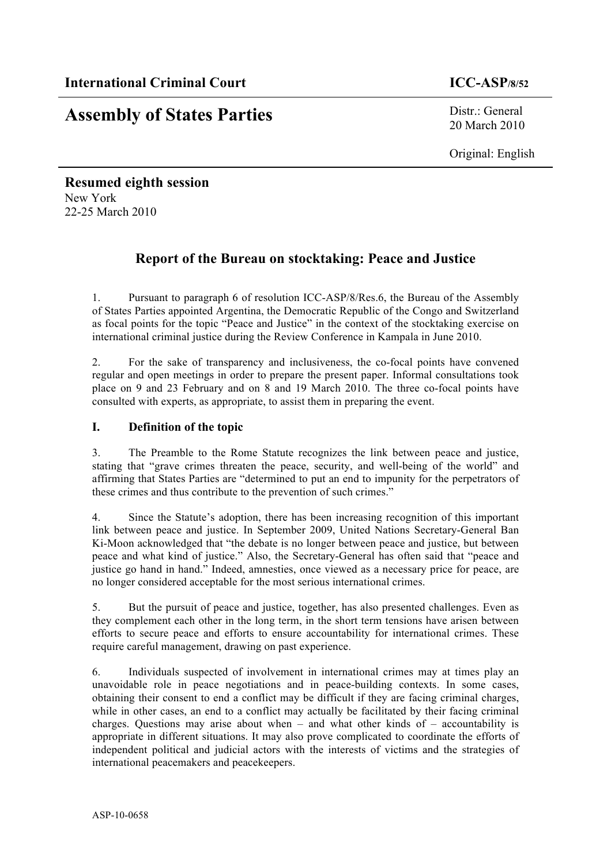# **Assembly of States Parties** Distr.: General

20 March 2010

Original: English

# **Resumed eighth session** New York 22-25 March 2010

# **Report of the Bureau on stocktaking: Peace and Justice**

1. Pursuant to paragraph 6 of resolution ICC-ASP/8/Res.6, the Bureau of the Assembly of States Parties appointed Argentina, the Democratic Republic of the Congo and Switzerland as focal points for the topic "Peace and Justice" in the context of the stocktaking exercise on international criminal justice during the Review Conference in Kampala in June 2010.

2. For the sake of transparency and inclusiveness, the co-focal points have convened regular and open meetings in order to prepare the present paper. Informal consultations took place on 9 and 23 February and on 8 and 19 March 2010. The three co-focal points have consulted with experts, as appropriate, to assist them in preparing the event.

## **I. Definition of the topic**

3. The Preamble to the Rome Statute recognizes the link between peace and justice, stating that "grave crimes threaten the peace, security, and well-being of the world" and affirming that States Parties are "determined to put an end to impunity for the perpetrators of these crimes and thus contribute to the prevention of such crimes."

4. Since the Statute's adoption, there has been increasing recognition of this important link between peace and justice. In September 2009, United Nations Secretary-General Ban Ki-Moon acknowledged that "the debate is no longer between peace and justice, but between peace and what kind of justice." Also, the Secretary-General has often said that "peace and justice go hand in hand." Indeed, amnesties, once viewed as a necessary price for peace, are no longer considered acceptable for the most serious international crimes.

5. But the pursuit of peace and justice, together, has also presented challenges. Even as they complement each other in the long term, in the short term tensions have arisen between efforts to secure peace and efforts to ensure accountability for international crimes. These require careful management, drawing on past experience.

6. Individuals suspected of involvement in international crimes may at times play an unavoidable role in peace negotiations and in peace-building contexts. In some cases, obtaining their consent to end a conflict may be difficult if they are facing criminal charges, while in other cases, an end to a conflict may actually be facilitated by their facing criminal charges. Questions may arise about when – and what other kinds of – accountability is appropriate in different situations. It may also prove complicated to coordinate the efforts of independent political and judicial actors with the interests of victims and the strategies of international peacemakers and peacekeepers.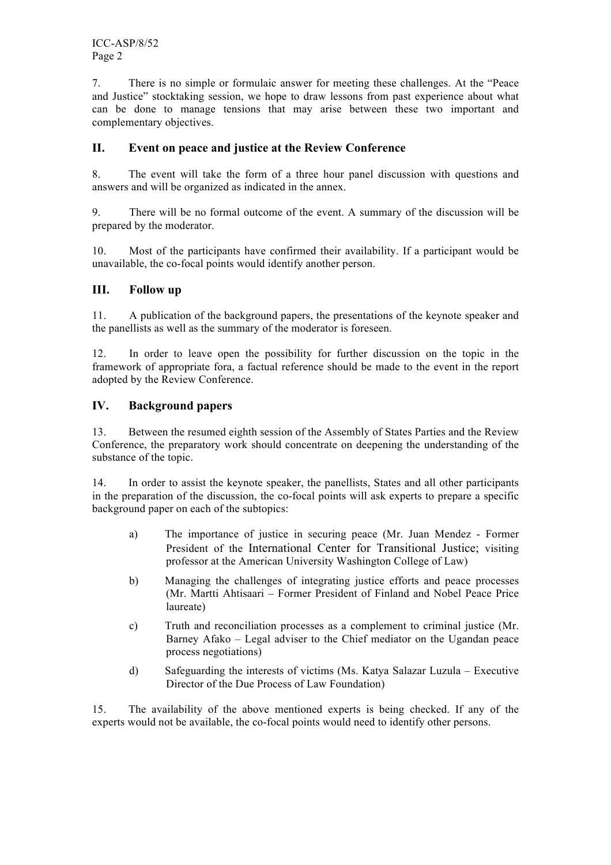ICC-ASP/8/52 Page 2

7. There is no simple or formulaic answer for meeting these challenges. At the "Peace and Justice" stocktaking session, we hope to draw lessons from past experience about what can be done to manage tensions that may arise between these two important and complementary objectives.

### **II. Event on peace and justice at the Review Conference**

8. The event will take the form of a three hour panel discussion with questions and answers and will be organized as indicated in the annex.

9. There will be no formal outcome of the event. A summary of the discussion will be prepared by the moderator.

10. Most of the participants have confirmed their availability. If a participant would be unavailable, the co-focal points would identify another person.

#### **III. Follow up**

11. A publication of the background papers, the presentations of the keynote speaker and the panellists as well as the summary of the moderator is foreseen.

12. In order to leave open the possibility for further discussion on the topic in the framework of appropriate fora, a factual reference should be made to the event in the report adopted by the Review Conference.

#### **IV. Background papers**

13. Between the resumed eighth session of the Assembly of States Parties and the Review Conference, the preparatory work should concentrate on deepening the understanding of the substance of the topic.

14. In order to assist the keynote speaker, the panellists, States and all other participants in the preparation of the discussion, the co-focal points will ask experts to prepare a specific background paper on each of the subtopics:

- a) The importance of justice in securing peace (Mr. Juan Mendez Former President of the International Center for Transitional Justice; visiting professor at the American University Washington College of Law)
- b) Managing the challenges of integrating justice efforts and peace processes (Mr. Martti Ahtisaari – Former President of Finland and Nobel Peace Price laureate)
- c) Truth and reconciliation processes as a complement to criminal justice (Mr. Barney Afako – Legal adviser to the Chief mediator on the Ugandan peace process negotiations)
- d) Safeguarding the interests of victims (Ms. Katya Salazar Luzula Executive Director of the Due Process of Law Foundation)

15. The availability of the above mentioned experts is being checked. If any of the experts would not be available, the co-focal points would need to identify other persons.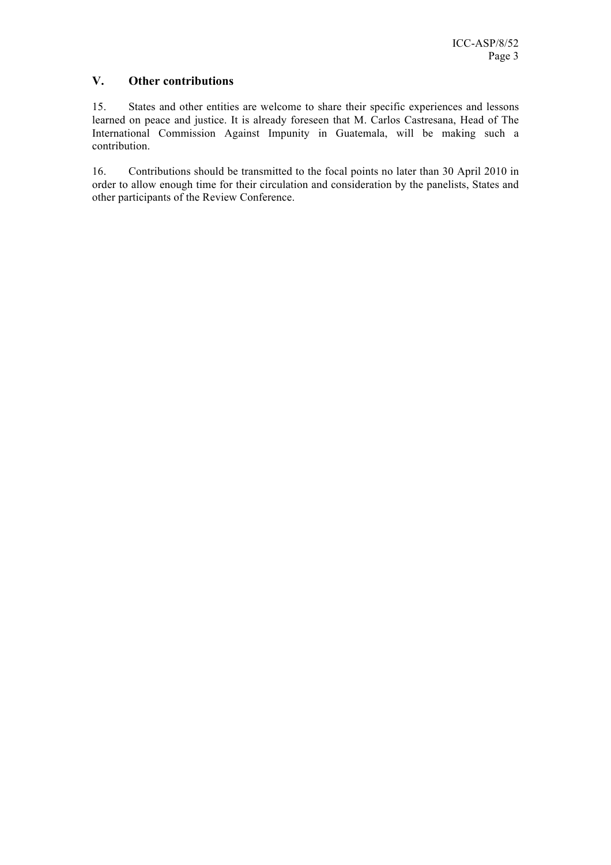#### **V. Other contributions**

15. States and other entities are welcome to share their specific experiences and lessons learned on peace and justice. It is already foreseen that M. Carlos Castresana, Head of The International Commission Against Impunity in Guatemala, will be making such a contribution.

16. Contributions should be transmitted to the focal points no later than 30 April 2010 in order to allow enough time for their circulation and consideration by the panelists, States and other participants of the Review Conference.